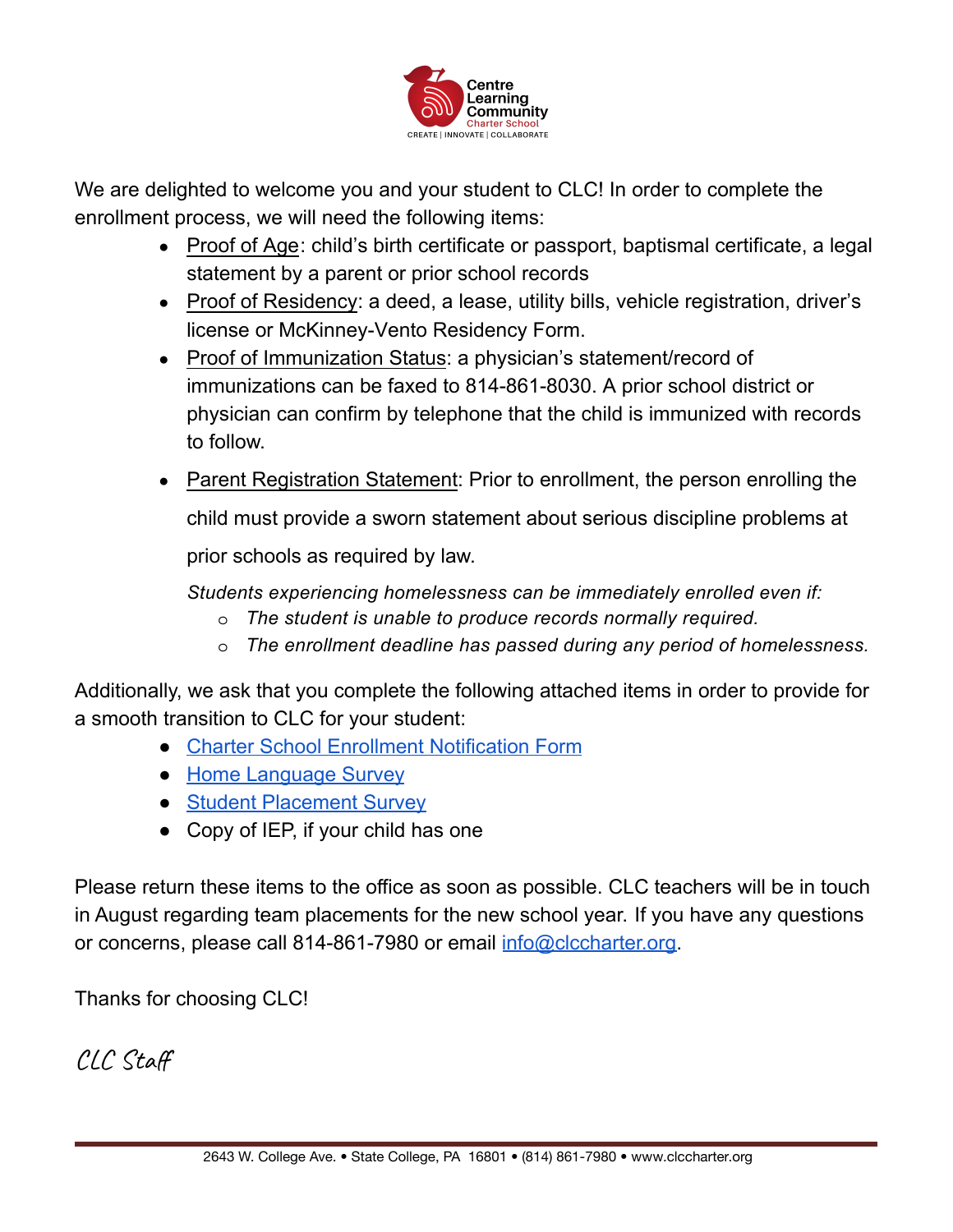

We are delighted to welcome you and your student to CLC! In order to complete the enrollment process, we will need the following items:

- Proof of Age: child's birth certificate or passport, baptismal certificate, a legal statement by a parent or prior school records
- Proof of Residency: a deed, a lease, utility bills, vehicle registration, driver's license or McKinney-Vento Residency Form.
- Proof of Immunization Status: a physician's statement/record of immunizations can be faxed to 814-861-8030. A prior school district or physician can confirm by telephone that the child is immunized with records to follow.
- **Parent Registration Statement: Prior to enrollment, the person enrolling the**

child must provide a sworn statement about serious discipline problems at

prior schools as required by law.

*Students experiencing homelessness can be immediately enrolled even if:*

- o *The student is unable to produce records normally required.*
- o *The enrollment deadline has passed during any period of homelessness.*

Additionally, we ask that you complete the following attached items in order to provide for a smooth transition to CLC for your student:

- [Charter School Enrollment Notification Form](https://drive.google.com/file/d/13dbCnI7Im_VLDQskxbNKbfc2ckBTHI1o/view?usp=sharing)
- [Home Language Survey](https://drive.google.com/file/d/1JqKdPgKsClocnHVWI1_FHYguY4JnA9rM/view?usp=sharing)
- [Student Placement Survey](https://drive.google.com/file/d/18kcEPGCcumua4TvIJKECg7MMjESHpLJC/view?usp=sharing)
- Copy of IEP, if your child has one

Please return these items to the office as soon as possible. CLC teachers will be in touch in August regarding team placements for the new school year. If you have any questions or concerns, please call 814-861-7980 or email [info@clccharter.org.](mailto:info@clccharter.org)

Thanks for choosing CLC!

CLC Staff